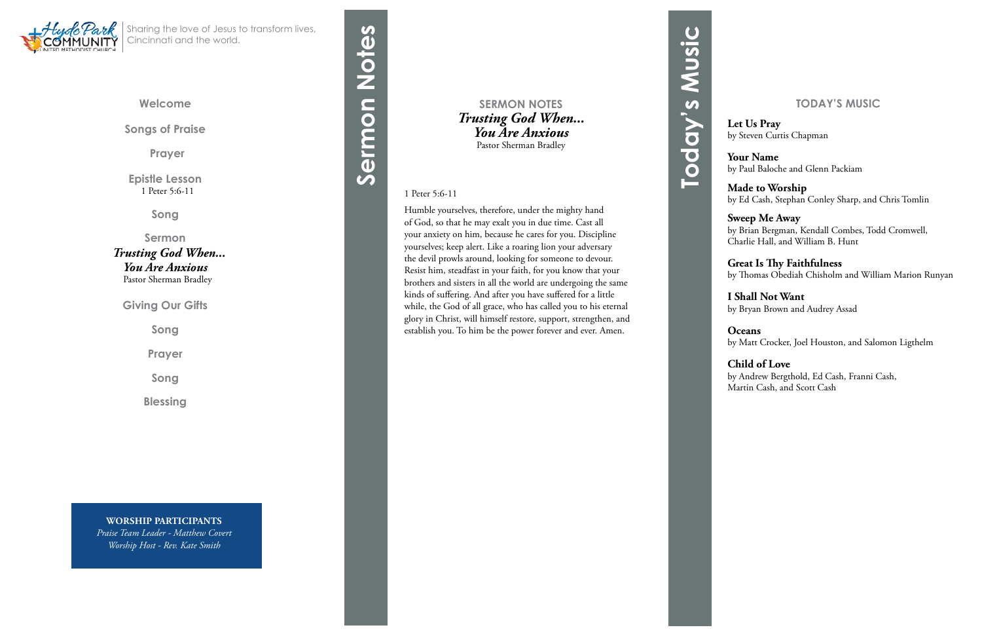## **Welcome**

**Songs of Praise**

**Prayer** 

**Epistle Lesson** 1 Peter 5:6-11

**Song**

**Sermon**  *Trusting God When... You Are Anxious* Pastor Sherman Bradley



**Giving Our Gifts**

**Song**

**Prayer**

**Song**

**Blessing**

Sharing the love of Jesus to transform lives, Cincinnati and the world.

## **SERMON NOTES** *Trusting God When... You Are Anxious* Pastor Sherman Bradley

## 1 Peter 5:6-11

# Sermon Notes **Sermon Notes**

Humble yourselves, therefore, under the mighty hand of God, so that he may exalt you in due time. Cast all your anxiety on him, because he cares for you. Discipline yourselves; keep alert. Like a roaring lion your adversary the devil prowls around, looking for someone to devour. Resist him, steadfast in your faith, for you know that your brothers and sisters in all the world are undergoing the same kinds of suffering. And after you have suffered for a little while, the God of all grace, who has called you to his eternal glory in Christ, will himself restore, support, strengthen, and establish you. To him be the power forever and ever. Amen.

**WORSHIP PARTICIPANTS** *Praise Team Leader - Matthew Covert Worship Host - Rev. Kate Smith*

# **TODAY'S MUSIC**

**Let Us Pray** by Steven Curtis Chapman

**Your Name** by Paul Baloche and Glenn Packiam

**Made to Worship** by Ed Cash, Stephan Conley Sharp, and Chris Tomlin

**Sweep Me Away** by Brian Bergman, Kendall Combes, Todd Cromwell, Charlie Hall, and William B. Hunt

**Great Is Thy Faithfulness** by Thomas Obediah Chisholm and William Marion Runyan

**I Shall Not Want** by Bryan Brown and Audrey Assad

**Oceans** by Matt Crocker, Joel Houston, and Salomon Ligthelm

**Child of Love** by Andrew Bergthold, Ed Cash, Franni Cash, Martin Cash, and Scott Cash